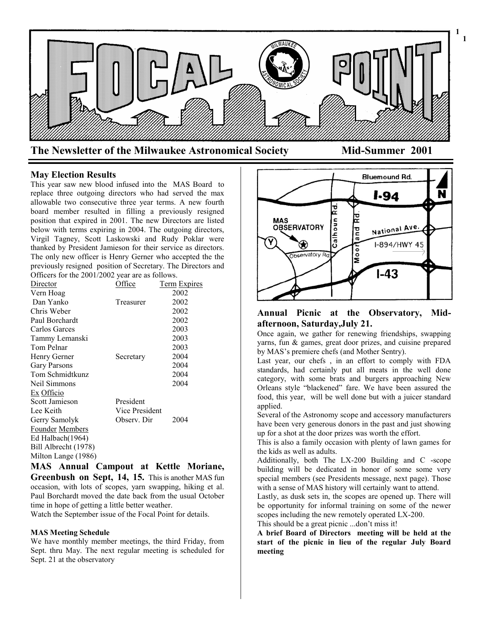

**May Election Results**

This year saw new blood infused into the MAS Board to replace three outgoing directors who had served the max allowable two consecutive three year terms. A new fourth board member resulted in filling a previously resigned position that expired in 2001. The new Directors are listed below with terms expiring in 2004. The outgoing directors, Virgil Tagney, Scott Laskowski and Rudy Poklar were thanked by President Jamieson for their service as directors. The only new officer is Henry Gerner who accepted the the previously resigned position of Secretary. The Directors and Officers for the 2001/2002 year are as follows.

| Director               | Office         | Term Expires |
|------------------------|----------------|--------------|
| Vern Hoag              |                | 2002         |
| Dan Yanko              | Treasurer      | 2002         |
| Chris Weber            |                | 2002         |
| Paul Borchardt         |                | 2002         |
| Carlos Garces          |                | 2003         |
| Tammy Lemanski         |                | 2003         |
| Tom Pelnar             |                | 2003         |
| Henry Gerner           | Secretary      | 2004         |
| <b>Gary Parsons</b>    |                | 2004         |
| Tom Schmidtkunz        |                | 2004         |
| Neil Simmons           |                | 2004         |
| Ex Officio             |                |              |
| Scott Jamieson         | President      |              |
| Lee Keith              | Vice President |              |
| Gerry Samolyk          | Observ. Dir    | 2004         |
| <b>Founder Members</b> |                |              |
| Ed Halbach(1964)       |                |              |
| Bill Albrecht (1978)   |                |              |
| Milton Lange (1986)    |                |              |

**MAS Annual Campout at Kettle Moriane, Greenbush on Sept, 14, 15.** This is another MAS fun occasion, with lots of scopes, yarn swapping, hiking et al. Paul Borchardt moved the date back from the usual October time in hope of getting a little better weather.

Watch the September issue of the Focal Point for details.

### **MAS Meeting Schedule**

We have monthly member meetings, the third Friday, from Sept. thru May. The next regular meeting is scheduled for Sept. 21 at the observatory



## **Annual Picnic at the Observatory, Midafternoon, Saturday,July 21.**

Once again, we gather for renewing friendships, swapping yarns, fun & games, great door prizes, and cuisine prepared by MAS's premiere chefs (and Mother Sentry).

Last year, our chefs , in an effort to comply with FDA standards, had certainly put all meats in the well done category, with some brats and burgers approaching New Orleans style "blackened" fare. We have been assured the food, this year, will be well done but with a juicer standard applied.

Several of the Astronomy scope and accessory manufacturers have been very generous donors in the past and just showing up for a shot at the door prizes was worth the effort.

This is also a family occasion with plenty of lawn games for the kids as well as adults.

Additionally, both The LX-200 Building and C -scope building will be dedicated in honor of some some very special members (see Presidents message, next page). Those with a sense of MAS history will certainly want to attend.

Lastly, as dusk sets in, the scopes are opened up. There will be opportunity for informal training on some of the newer scopes including the new remotely operated LX-200.

This should be a great picnic ...don't miss it!

**A brief Board of Directors meeting will be held at the start of the picnic in lieu of the regular July Board meeting**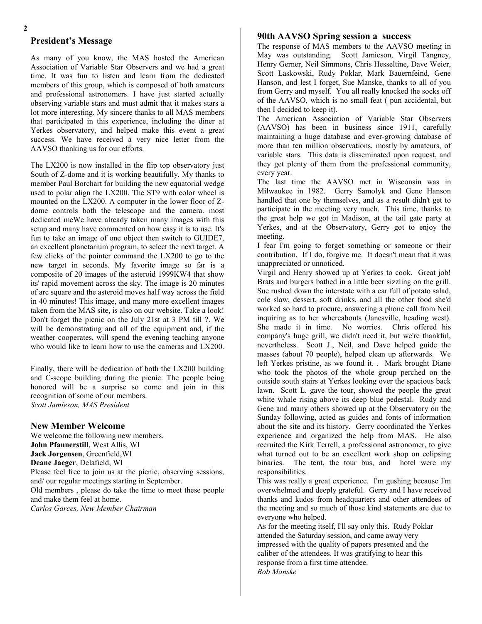# **President's Message**

As many of you know, the MAS hosted the American Association of Variable Star Observers and we had a great time. It was fun to listen and learn from the dedicated members of this group, which is composed of both amateurs and professional astronomers. I have just started actually observing variable stars and must admit that it makes stars a lot more interesting. My sincere thanks to all MAS members that participated in this experience, including the diner at Yerkes observatory, and helped make this event a great success. We have received a very nice letter from the AAVSO thanking us for our efforts.

The LX200 is now installed in the flip top observatory just South of Z-dome and it is working beautifully. My thanks to member Paul Borchart for building the new equatorial wedge used to polar align the LX200. The ST9 with color wheel is mounted on the LX200. A computer in the lower floor of Zdome controls both the telescope and the camera. most dedicated meWe have already taken many images with this setup and many have commented on how easy it is to use. It's fun to take an image of one object then switch to GUIDE7, an excellent planetarium program, to select the next target. A few clicks of the pointer command the LX200 to go to the new target in seconds. My favorite image so far is a composite of 20 images of the asteroid 1999KW4 that show its' rapid movement across the sky. The image is 20 minutes of arc square and the asteroid moves half way across the field in 40 minutes! This image, and many more excellent images taken from the MAS site, is also on our website. Take a look! Don't forget the picnic on the July 21st at 3 PM till ?. We will be demonstrating and all of the equipment and, if the weather cooperates, will spend the evening teaching anyone who would like to learn how to use the cameras and LX200.

Finally, there will be dedication of both the LX200 building and C-scope building during the picnic. The people being honored will be a surprise so come and join in this recognition of some of our members. *Scott Jamieson, MAS President*

### **New Member Welcome**

We welcome the following new members. **John Pfannerstill**, West Allis, WI **Jack Jorgensen**, Greenfield,WI **Deane Jaeger**, Delafield, WI Please feel free to join us at the picnic, observing sessions, and/ our regular meetings starting in September. Old members , please do take the time to meet these people and make them feel at home. *Carlos Garces, New Member Chairman*

### **90th AAVSO Spring session a success**

The response of MAS members to the AAVSO meeting in May was outstanding. Scott Jamieson, Virgil Tangney, Henry Gerner, Neil Simmons, Chris Hesseltine, Dave Weier, Scott Laskowski, Rudy Poklar, Mark Bauernfeind, Gene Hanson, and lest I forget, Sue Manske, thanks to all of you from Gerry and myself. You all really knocked the socks off of the AAVSO, which is no small feat ( pun accidental, but then I decided to keep it).

The American Association of Variable Star Observers (AAVSO) has been in business since 1911, carefully maintaining a huge database and ever-growing database of more than ten million observations, mostly by amateurs, of variable stars. This data is disseminated upon request, and they get plenty of them from the professional community, every year.

The last time the AAVSO met in Wisconsin was in Milwaukee in 1982. Gerry Samolyk and Gene Hanson handled that one by themselves, and as a result didn't get to participate in the meeting very much. This time, thanks to the great help we got in Madison, at the tail gate party at Yerkes, and at the Observatory, Gerry got to enjoy the meeting.

I fear I'm going to forget something or someone or their contribution. If I do, forgive me. It doesn't mean that it was unappreciated or unnoticed.

Virgil and Henry showed up at Yerkes to cook. Great job! Brats and burgers bathed in a little beer sizzling on the grill. Sue rushed down the interstate with a car full of potato salad, cole slaw, dessert, soft drinks, and all the other food she'd worked so hard to procure, answering a phone call from Neil inquiring as to her whereabouts (Janesville, heading west). She made it in time. No worries. Chris offered his company's huge grill, we didn't need it, but we're thankful, nevertheless. Scott J., Neil, and Dave helped guide the masses (about 70 people), helped clean up afterwards. We left Yerkes pristine, as we found it. . Mark brought Diane who took the photos of the whole group perched on the outside south stairs at Yerkes looking over the spacious back lawn. Scott L. gave the tour, showed the people the great white whale rising above its deep blue pedestal. Rudy and Gene and many others showed up at the Observatory on the Sunday following, acted as guides and fonts of information about the site and its history. Gerry coordinated the Yerkes experience and organized the help from MAS. He also recruited the Kirk Terrell, a professional astronomer, to give what turned out to be an excellent work shop on eclipsing binaries. The tent, the tour bus, and hotel were my responsibilities.

This was really a great experience. I'm gushing because I'm overwhelmed and deeply grateful. Gerry and I have received thanks and kudos from headquarters and other attendees of the meeting and so much of those kind statements are due to everyone who helped.

As for the meeting itself, I'll say only this. Rudy Poklar attended the Saturday session, and came away very impressed with the quality of papers presented and the caliber of the attendees. It was gratifying to hear this response from a first time attendee. *Bob Manske*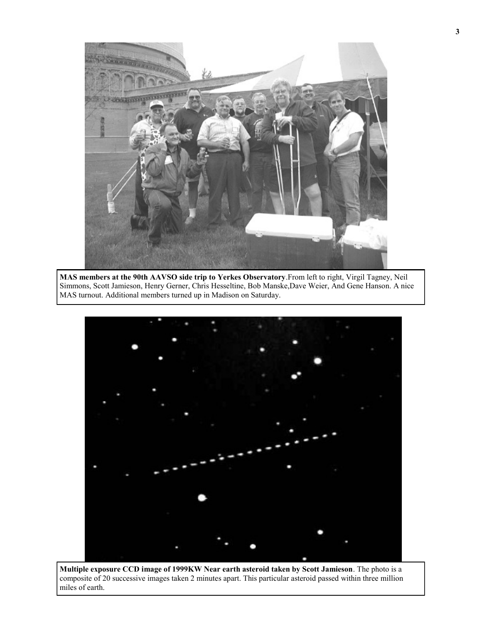

**MAS members at the 90th AAVSO side trip to Yerkes Observatory**.From left to right, Virgil Tagney, Neil Simmons, Scott Jamieson, Henry Gerner, Chris Hesseltine, Bob Manske,Dave Weier, And Gene Hanson. A nice MAS turnout. Additional members turned up in Madison on Saturday.



**Multiple exposure CCD image of 1999KW Near earth asteroid taken by Scott Jamieson**. The photo is a composite of 20 successive images taken 2 minutes apart. This particular asteroid passed within three million miles of earth.